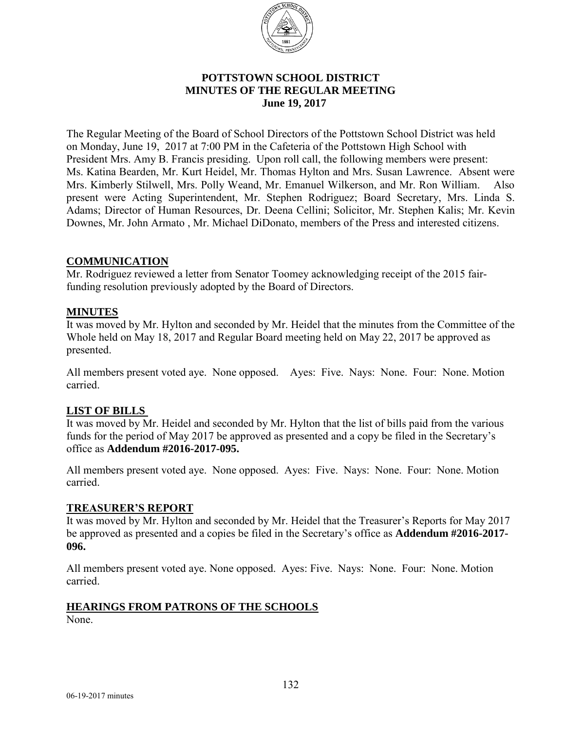

#### **POTTSTOWN SCHOOL DISTRICT MINUTES OF THE REGULAR MEETING**  **June 19, 2017**

The Regular Meeting of the Board of School Directors of the Pottstown School District was held on Monday, June 19, 2017 at 7:00 PM in the Cafeteria of the Pottstown High School with President Mrs. Amy B. Francis presiding. Upon roll call, the following members were present: Ms. Katina Bearden, Mr. Kurt Heidel, Mr. Thomas Hylton and Mrs. Susan Lawrence. Absent were Mrs. Kimberly Stilwell, Mrs. Polly Weand, Mr. Emanuel Wilkerson, and Mr. Ron William. Also present were Acting Superintendent, Mr. Stephen Rodriguez; Board Secretary, Mrs. Linda S. Adams; Director of Human Resources, Dr. Deena Cellini; Solicitor, Mr. Stephen Kalis; Mr. Kevin Downes, Mr. John Armato , Mr. Michael DiDonato, members of the Press and interested citizens.

#### **COMMUNICATION**

Mr. Rodriguez reviewed a letter from Senator Toomey acknowledging receipt of the 2015 fairfunding resolution previously adopted by the Board of Directors.

#### **MINUTES**

It was moved by Mr. Hylton and seconded by Mr. Heidel that the minutes from the Committee of the Whole held on May 18, 2017 and Regular Board meeting held on May 22, 2017 be approved as presented.

All members present voted aye. None opposed. Ayes: Five. Nays: None. Four: None. Motion carried.

### **LIST OF BILLS**

It was moved by Mr. Heidel and seconded by Mr. Hylton that the list of bills paid from the various funds for the period of May 2017 be approved as presented and a copy be filed in the Secretary's office as **Addendum #2016-2017-095.** 

All members present voted aye. None opposed. Ayes: Five. Nays: None. Four: None. Motion carried.

#### **TREASURER'S REPORT**

It was moved by Mr. Hylton and seconded by Mr. Heidel that the Treasurer's Reports for May 2017 be approved as presented and a copies be filed in the Secretary's office as **Addendum #2016-2017- 096.**

All members present voted aye. None opposed. Ayes: Five. Nays: None. Four: None. Motion carried.

#### **HEARINGS FROM PATRONS OF THE SCHOOLS**

None.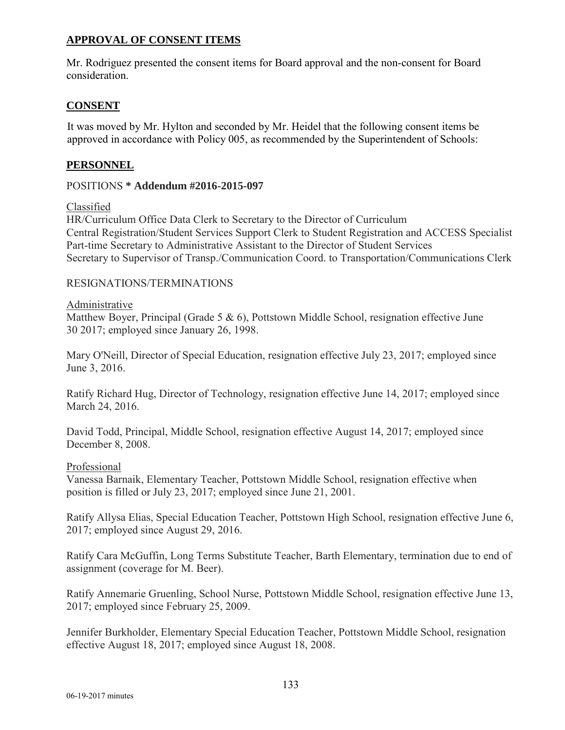## **APPROVAL OF CONSENT ITEMS**

Mr. Rodriguez presented the consent items for Board approval and the non-consent for Board consideration.

## **CONSENT**

It was moved by Mr. Hylton and seconded by Mr. Heidel that the following consent items be approved in accordance with Policy 005, as recommended by the Superintendent of Schools:

## **PERSONNEL**

### POSITIONS **\* Addendum #2016-2015-097**

#### Classified

HR/Curriculum Office Data Clerk to Secretary to the Director of Curriculum Central Registration/Student Services Support Clerk to Student Registration and ACCESS Specialist Part-time Secretary to Administrative Assistant to the Director of Student Services Secretary to Supervisor of Transp./Communication Coord. to Transportation/Communications Clerk

#### RESIGNATIONS/TERMINATIONS

#### Administrative

Matthew Boyer, Principal (Grade 5 & 6), Pottstown Middle School, resignation effective June 30 2017; employed since January 26, 1998.

Mary O'Neill, Director of Special Education, resignation effective July 23, 2017; employed since June 3, 2016.

Ratify Richard Hug, Director of Technology, resignation effective June 14, 2017; employed since March 24, 2016.

David Todd, Principal, Middle School, resignation effective August 14, 2017; employed since December 8, 2008.

#### Professional

Vanessa Barnaik, Elementary Teacher, Pottstown Middle School, resignation effective when position is filled or July 23, 2017; employed since June 21, 2001.

Ratify Allysa Elias, Special Education Teacher, Pottstown High School, resignation effective June 6, 2017; employed since August 29, 2016.

Ratify Cara McGuffin, Long Terms Substitute Teacher, Barth Elementary, termination due to end of assignment (coverage for M. Beer).

Ratify Annemarie Gruenling, School Nurse, Pottstown Middle School, resignation effective June 13, 2017; employed since February 25, 2009.

Jennifer Burkholder, Elementary Special Education Teacher, Pottstown Middle School, resignation effective August 18, 2017; employed since August 18, 2008.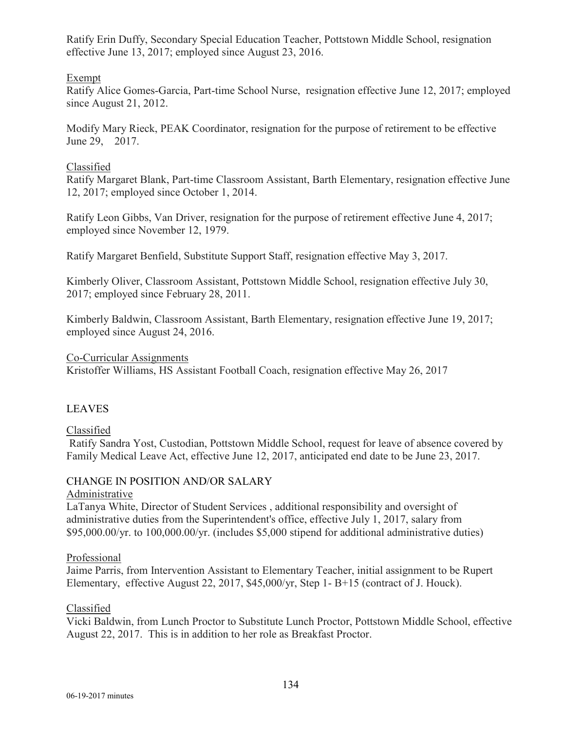Ratify Erin Duffy, Secondary Special Education Teacher, Pottstown Middle School, resignation effective June 13, 2017; employed since August 23, 2016.

Exempt

Ratify Alice Gomes-Garcia, Part-time School Nurse, resignation effective June 12, 2017; employed since August 21, 2012.

Modify Mary Rieck, PEAK Coordinator, resignation for the purpose of retirement to be effective June 29, 2017.

## Classified

Ratify Margaret Blank, Part-time Classroom Assistant, Barth Elementary, resignation effective June 12, 2017; employed since October 1, 2014.

Ratify Leon Gibbs, Van Driver, resignation for the purpose of retirement effective June 4, 2017; employed since November 12, 1979.

Ratify Margaret Benfield, Substitute Support Staff, resignation effective May 3, 2017.

Kimberly Oliver, Classroom Assistant, Pottstown Middle School, resignation effective July 30, 2017; employed since February 28, 2011.

Kimberly Baldwin, Classroom Assistant, Barth Elementary, resignation effective June 19, 2017; employed since August 24, 2016.

Co-Curricular Assignments

Kristoffer Williams, HS Assistant Football Coach, resignation effective May 26, 2017

# LEAVES

Classified

Ratify Sandra Yost, Custodian, Pottstown Middle School, request for leave of absence covered by Family Medical Leave Act, effective June 12, 2017, anticipated end date to be June 23, 2017.

# CHANGE IN POSITION AND/OR SALARY

### Administrative

LaTanya White, Director of Student Services , additional responsibility and oversight of administrative duties from the Superintendent's office, effective July 1, 2017, salary from \$95,000.00/yr. to 100,000.00/yr. (includes \$5,000 stipend for additional administrative duties)

### Professional

Jaime Parris, from Intervention Assistant to Elementary Teacher, initial assignment to be Rupert Elementary, effective August 22, 2017, \$45,000/yr, Step 1- B+15 (contract of J. Houck).

### Classified

Vicki Baldwin, from Lunch Proctor to Substitute Lunch Proctor, Pottstown Middle School, effective August 22, 2017. This is in addition to her role as Breakfast Proctor.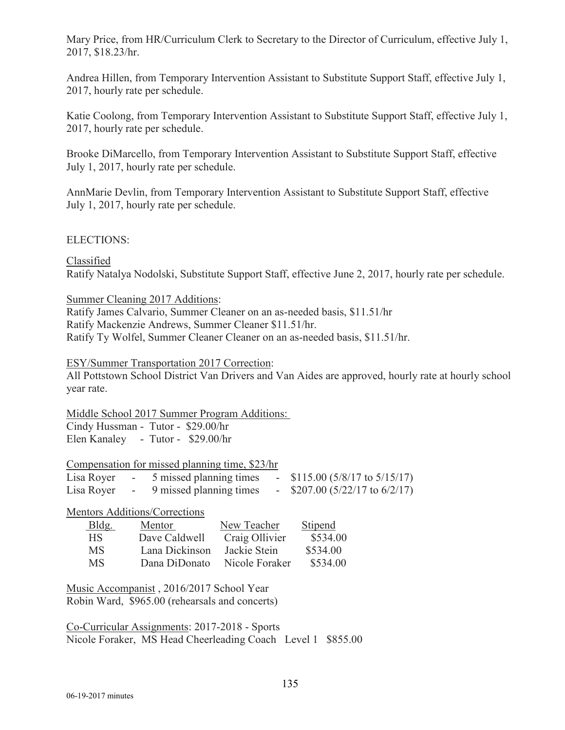Mary Price, from HR/Curriculum Clerk to Secretary to the Director of Curriculum, effective July 1, 2017, \$18.23/hr.

Andrea Hillen, from Temporary Intervention Assistant to Substitute Support Staff, effective July 1, 2017, hourly rate per schedule.

Katie Coolong, from Temporary Intervention Assistant to Substitute Support Staff, effective July 1, 2017, hourly rate per schedule.

Brooke DiMarcello, from Temporary Intervention Assistant to Substitute Support Staff, effective July 1, 2017, hourly rate per schedule.

AnnMarie Devlin, from Temporary Intervention Assistant to Substitute Support Staff, effective July 1, 2017, hourly rate per schedule.

#### ELECTIONS:

Classified Ratify Natalya Nodolski, Substitute Support Staff, effective June 2, 2017, hourly rate per schedule.

#### Summer Cleaning 2017 Additions:

Ratify James Calvario, Summer Cleaner on an as-needed basis, \$11.51/hr Ratify Mackenzie Andrews, Summer Cleaner \$11.51/hr. Ratify Ty Wolfel, Summer Cleaner Cleaner on an as-needed basis, \$11.51/hr.

#### ESY/Summer Transportation 2017 Correction:

All Pottstown School District Van Drivers and Van Aides are approved, hourly rate at hourly school year rate.

Middle School 2017 Summer Program Additions:

Cindy Hussman - Tutor - \$29.00/hr Elen Kanaley - Tutor - \$29.00/hr

|            | Compensation for missed planning time, \$23/hr |                                    |
|------------|------------------------------------------------|------------------------------------|
|            | Lisa Royer - 5 missed planning times           | $-$ \$115.00 (5/8/17 to 5/15/17)   |
| Lisa Royer | - 9 missed planning times                      | - \$207.00 $(5/22/17$ to $6/2/17)$ |

Mentors Additions/Corrections

| Bldg. | Mentor         | New Teacher    | <b>Stipend</b> |
|-------|----------------|----------------|----------------|
| HS.   | Dave Caldwell  | Craig Ollivier | \$534.00       |
| MS    | Lana Dickinson | Jackie Stein   | \$534.00       |
| MS    | Dana DiDonato  | Nicole Foraker | \$534.00       |

Music Accompanist , 2016/2017 School Year Robin Ward, \$965.00 (rehearsals and concerts)

Co-Curricular Assignments: 2017-2018 - Sports Nicole Foraker, MS Head Cheerleading Coach Level 1 \$855.00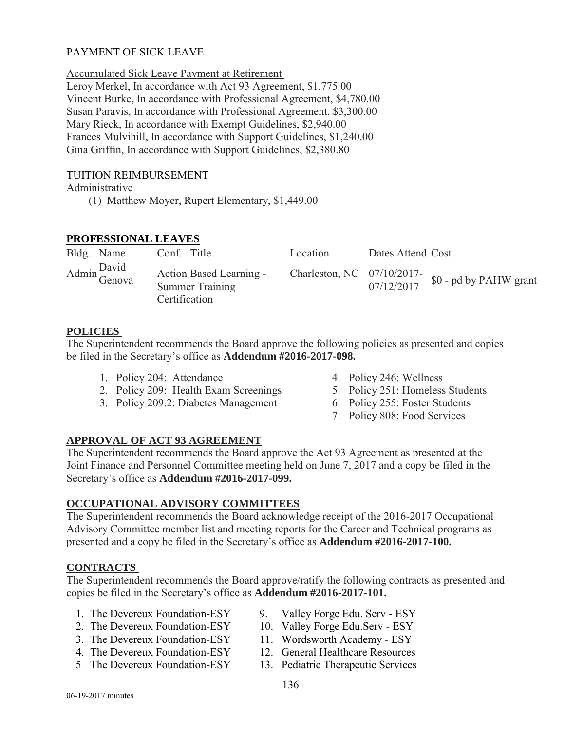## PAYMENT OF SICK LEAVE

Accumulated Sick Leave Payment at Retirement

Leroy Merkel, In accordance with Act 93 Agreement, \$1,775.00 Vincent Burke, In accordance with Professional Agreement, \$4,780.00 Susan Paravis, In accordance with Professional Agreement, \$3,300.00 Mary Rieck, In accordance with Exempt Guidelines, \$2,940.00 Frances Mulvihill, In accordance with Support Guidelines, \$1,240.00 Gina Griffin, In accordance with Support Guidelines, \$2,380.80

## TUITION REIMBURSEMENT

### Administrative

(1) Matthew Moyer, Rupert Elementary, \$1,449.00

## **PROFESSIONAL LEAVES**

| Bldg. Name   | Conf. Title                                                        | Location | Dates Attend Cost |                                                            |
|--------------|--------------------------------------------------------------------|----------|-------------------|------------------------------------------------------------|
| Admin Genova | Action Based Learning -<br><b>Summer Training</b><br>Certification |          |                   | Charleston, NC $\frac{07}{10/2017}$ \$0 - pd by PAHW grant |

### **POLICIES**

The Superintendent recommends the Board approve the following policies as presented and copies be filed in the Secretary's office as **Addendum #2016-2017-098.** 

- 1. Policy 204: Attendance 4. Policy 246: Wellness
- 2. Policy 209: Health Exam Screenings 5. Policy 251: Homeless Students
- 3. Policy 209.2: Diabetes Management 6. Policy 255: Foster Students
- 
- 
- - 7. Policy 808: Food Services

# **APPROVAL OF ACT 93 AGREEMENT**

The Superintendent recommends the Board approve the Act 93 Agreement as presented at the Joint Finance and Personnel Committee meeting held on June 7, 2017 and a copy be filed in the Secretary's office as **Addendum #2016-2017-099.** 

# **OCCUPATIONAL ADVISORY COMMITTEES**

The Superintendent recommends the Board acknowledge receipt of the 2016-2017 Occupational Advisory Committee member list and meeting reports for the Career and Technical programs as presented and a copy be filed in the Secretary's office as **Addendum #2016-2017-100.** 

### **CONTRACTS**

The Superintendent recommends the Board approve/ratify the following contracts as presented and copies be filed in the Secretary's office as **Addendum #2016-2017-101.** 

- 1. The Devereux Foundation-ESY 9. Valley Forge Edu. Serv ESY
- 2. The Devereux Foundation-ESY 10. Valley Forge Edu.Serv ESY
- 3. The Devereux Foundation-ESY 11. Wordsworth Academy ESY
- 4. The Devereux Foundation-ESY 12. General Healthcare Resources
- 5 The Devereux Foundation-ESY 13. Pediatric Therapeutic Services
- 
- 
- 
- 
-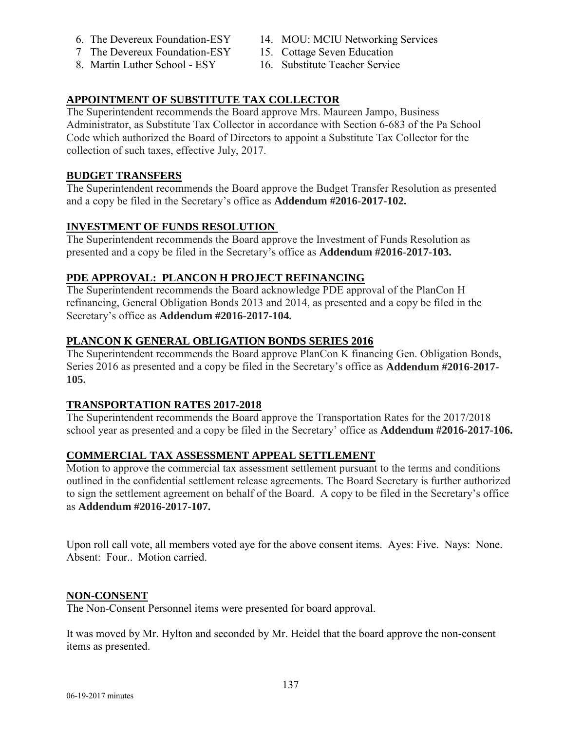- 
- 7 The Devereux Foundation-ESY 15. Cottage Seven Education
- 8. Martin Luther School ESY 16. Substitute Teacher Service
- 6. The Devereux Foundation-ESY 14. MOU: MCIU Networking Services
	-
	-

# **APPOINTMENT OF SUBSTITUTE TAX COLLECTOR**

The Superintendent recommends the Board approve Mrs. Maureen Jampo, Business Administrator, as Substitute Tax Collector in accordance with Section 6-683 of the Pa School Code which authorized the Board of Directors to appoint a Substitute Tax Collector for the collection of such taxes, effective July, 2017.

# **BUDGET TRANSFERS**

The Superintendent recommends the Board approve the Budget Transfer Resolution as presented and a copy be filed in the Secretary's office as **Addendum #2016**-**2017-102.**

# **INVESTMENT OF FUNDS RESOLUTION**

The Superintendent recommends the Board approve the Investment of Funds Resolution as presented and a copy be filed in the Secretary's office as **Addendum #2016**-**2017-103.**

# **PDE APPROVAL: PLANCON H PROJECT REFINANCING**

The Superintendent recommends the Board acknowledge PDE approval of the PlanCon H refinancing, General Obligation Bonds 2013 and 2014, as presented and a copy be filed in the Secretary's office as **Addendum #2016**-**2017-104.**

# **PLANCON K GENERAL OBLIGATION BONDS SERIES 2016**

The Superintendent recommends the Board approve PlanCon K financing Gen. Obligation Bonds, Series 2016 as presented and a copy be filed in the Secretary's office as **Addendum #2016**-**2017- 105.**

# **TRANSPORTATION RATES 2017-2018**

The Superintendent recommends the Board approve the Transportation Rates for the 2017/2018 school year as presented and a copy be filed in the Secretary' office as **Addendum #2016-2017-106.** 

# **COMMERCIAL TAX ASSESSMENT APPEAL SETTLEMENT**

Motion to approve the commercial tax assessment settlement pursuant to the terms and conditions outlined in the confidential settlement release agreements. The Board Secretary is further authorized to sign the settlement agreement on behalf of the Board. A copy to be filed in the Secretary's office as **Addendum #2016-2017-107.**

Upon roll call vote, all members voted aye for the above consent items. Ayes: Five. Nays: None. Absent: Four.. Motion carried.

# **NON-CONSENT**

The Non-Consent Personnel items were presented for board approval.

It was moved by Mr. Hylton and seconded by Mr. Heidel that the board approve the non-consent items as presented.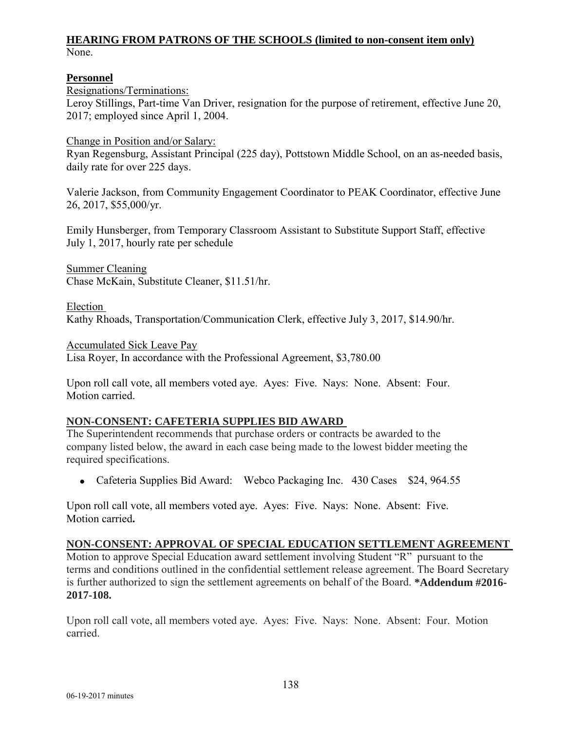#### **HEARING FROM PATRONS OF THE SCHOOLS (limited to non-consent item only)** None.

#### **Personnel**

Resignations/Terminations: Leroy Stillings, Part-time Van Driver, resignation for the purpose of retirement, effective June 20, 2017; employed since April 1, 2004.

Change in Position and/or Salary:

Ryan Regensburg, Assistant Principal (225 day), Pottstown Middle School, on an as-needed basis, daily rate for over 225 days.

Valerie Jackson, from Community Engagement Coordinator to PEAK Coordinator, effective June 26, 2017, \$55,000/yr.

Emily Hunsberger, from Temporary Classroom Assistant to Substitute Support Staff, effective July 1, 2017, hourly rate per schedule

Summer Cleaning Chase McKain, Substitute Cleaner, \$11.51/hr.

Election Kathy Rhoads, Transportation/Communication Clerk, effective July 3, 2017, \$14.90/hr.

Accumulated Sick Leave Pay Lisa Royer, In accordance with the Professional Agreement, \$3,780.00

Upon roll call vote, all members voted aye. Ayes: Five. Nays: None. Absent: Four. Motion carried.

### **NON-CONSENT: CAFETERIA SUPPLIES BID AWARD**

The Superintendent recommends that purchase orders or contracts be awarded to the company listed below, the award in each case being made to the lowest bidder meeting the required specifications.

• Cafeteria Supplies Bid Award: Webco Packaging Inc. 430 Cases \$24, 964.55

Upon roll call vote, all members voted aye. Ayes: Five. Nays: None. Absent: Five. Motion carried**.** 

### **NON-CONSENT: APPROVAL OF SPECIAL EDUCATION SETTLEMENT AGREEMENT**

Motion to approve Special Education award settlement involving Student "R" pursuant to the terms and conditions outlined in the confidential settlement release agreement. The Board Secretary is further authorized to sign the settlement agreements on behalf of the Board. **\*Addendum #2016- 2017-108.** 

Upon roll call vote, all members voted aye. Ayes: Five. Nays: None. Absent: Four. Motion carried.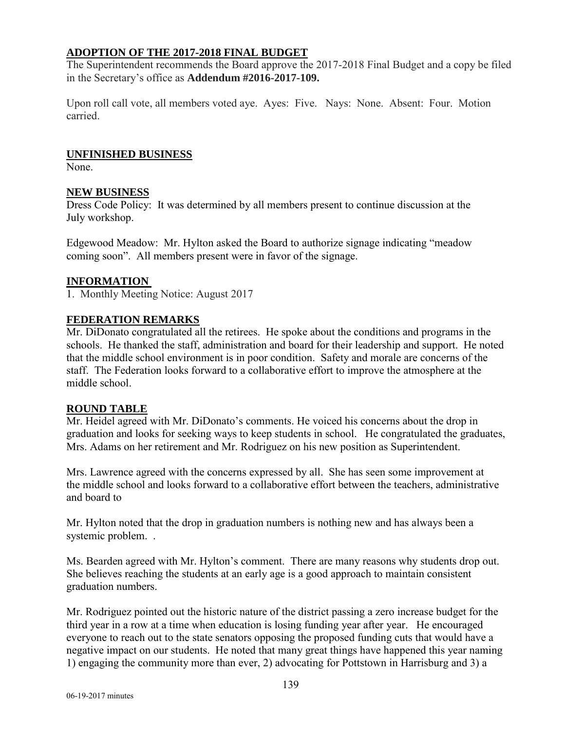### **ADOPTION OF THE 2017-2018 FINAL BUDGET**

The Superintendent recommends the Board approve the 2017-2018 Final Budget and a copy be filed in the Secretary's office as **Addendum #2016-2017-109.**

Upon roll call vote, all members voted aye. Ayes: Five. Nays: None. Absent: Four. Motion carried.

## **UNFINISHED BUSINESS**

None.

## **NEW BUSINESS**

Dress Code Policy: It was determined by all members present to continue discussion at the July workshop.

Edgewood Meadow: Mr. Hylton asked the Board to authorize signage indicating "meadow coming soon". All members present were in favor of the signage.

## **INFORMATION**

1. Monthly Meeting Notice: August 2017

## **FEDERATION REMARKS**

Mr. DiDonato congratulated all the retirees. He spoke about the conditions and programs in the schools. He thanked the staff, administration and board for their leadership and support. He noted that the middle school environment is in poor condition. Safety and morale are concerns of the staff. The Federation looks forward to a collaborative effort to improve the atmosphere at the middle school.

### **ROUND TABLE**

Mr. Heidel agreed with Mr. DiDonato's comments. He voiced his concerns about the drop in graduation and looks for seeking ways to keep students in school. He congratulated the graduates, Mrs. Adams on her retirement and Mr. Rodriguez on his new position as Superintendent.

Mrs. Lawrence agreed with the concerns expressed by all. She has seen some improvement at the middle school and looks forward to a collaborative effort between the teachers, administrative and board to

Mr. Hylton noted that the drop in graduation numbers is nothing new and has always been a systemic problem. .

Ms. Bearden agreed with Mr. Hylton's comment. There are many reasons why students drop out. She believes reaching the students at an early age is a good approach to maintain consistent graduation numbers.

Mr. Rodriguez pointed out the historic nature of the district passing a zero increase budget for the third year in a row at a time when education is losing funding year after year. He encouraged everyone to reach out to the state senators opposing the proposed funding cuts that would have a negative impact on our students. He noted that many great things have happened this year naming 1) engaging the community more than ever, 2) advocating for Pottstown in Harrisburg and 3) a